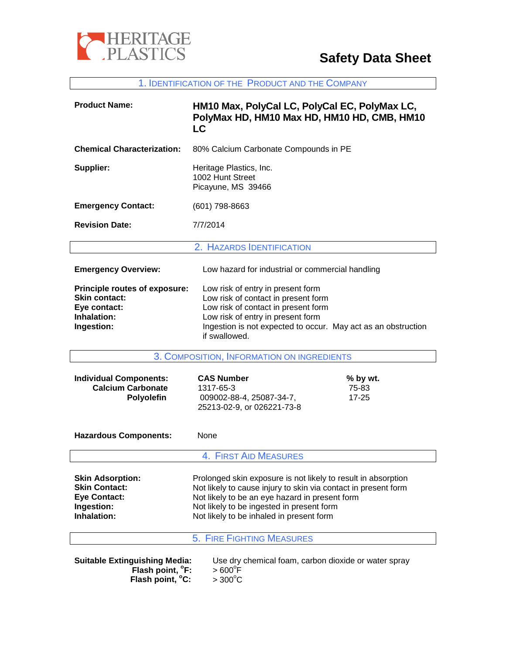

1. IDENTIFICATION OF THE PRODUCT AND THE COMPANY

| <b>Product Name:</b>                                                                                                                                                                     | HM10 Max, PolyCal LC, PolyCal EC, PolyMax LC,<br>PolyMax HD, HM10 Max HD, HM10 HD, CMB, HM10<br><b>LC</b>                                                                                                                                                                  |                                |
|------------------------------------------------------------------------------------------------------------------------------------------------------------------------------------------|----------------------------------------------------------------------------------------------------------------------------------------------------------------------------------------------------------------------------------------------------------------------------|--------------------------------|
| <b>Chemical Characterization:</b>                                                                                                                                                        | 80% Calcium Carbonate Compounds in PE                                                                                                                                                                                                                                      |                                |
| Supplier:                                                                                                                                                                                | Heritage Plastics, Inc.<br>1002 Hunt Street<br>Picayune, MS 39466                                                                                                                                                                                                          |                                |
| <b>Emergency Contact:</b>                                                                                                                                                                | (601) 798-8663                                                                                                                                                                                                                                                             |                                |
| <b>Revision Date:</b>                                                                                                                                                                    | 7/7/2014                                                                                                                                                                                                                                                                   |                                |
|                                                                                                                                                                                          | 2. HAZARDS IDENTIFICATION                                                                                                                                                                                                                                                  |                                |
| <b>Emergency Overview:</b>                                                                                                                                                               | Low hazard for industrial or commercial handling                                                                                                                                                                                                                           |                                |
| Principle routes of exposure:<br><b>Skin contact:</b><br>Eye contact:<br>Inhalation:<br>Ingestion:                                                                                       | Low risk of entry in present form<br>Low risk of contact in present form<br>Low risk of contact in present form<br>Low risk of entry in present form<br>Ingestion is not expected to occur. May act as an obstruction<br>if swallowed.                                     |                                |
| 3. COMPOSITION, INFORMATION ON INGREDIENTS                                                                                                                                               |                                                                                                                                                                                                                                                                            |                                |
| <b>Individual Components:</b><br><b>Calcium Carbonate</b><br>Polyolefin                                                                                                                  | <b>CAS Number</b><br>1317-65-3<br>009002-88-4, 25087-34-7,<br>25213-02-9, or 026221-73-8                                                                                                                                                                                   | % by wt.<br>75-83<br>$17 - 25$ |
| <b>Hazardous Components:</b>                                                                                                                                                             | None                                                                                                                                                                                                                                                                       |                                |
|                                                                                                                                                                                          | <b>4. FIRST AID MEASURES</b>                                                                                                                                                                                                                                               |                                |
| <b>Skin Adsorption:</b><br><b>Skin Contact:</b><br><b>Eye Contact:</b><br>Ingestion:<br>Inhalation:                                                                                      | Prolonged skin exposure is not likely to result in absorption<br>Not likely to cause injury to skin via contact in present form<br>Not likely to be an eye hazard in present form<br>Not likely to be ingested in present form<br>Not likely to be inhaled in present form |                                |
|                                                                                                                                                                                          | <b>5. FIRE FIGHTING MEASURES</b>                                                                                                                                                                                                                                           |                                |
| <b>Suitable Extinguishing Media:</b><br>Use dry chemical foam, carbon dioxide or water spray<br>Flash point, <sup>o</sup> F:<br>$>600^{\circ}$ F<br>Flash point, °C:<br>$>300^{\circ}$ C |                                                                                                                                                                                                                                                                            |                                |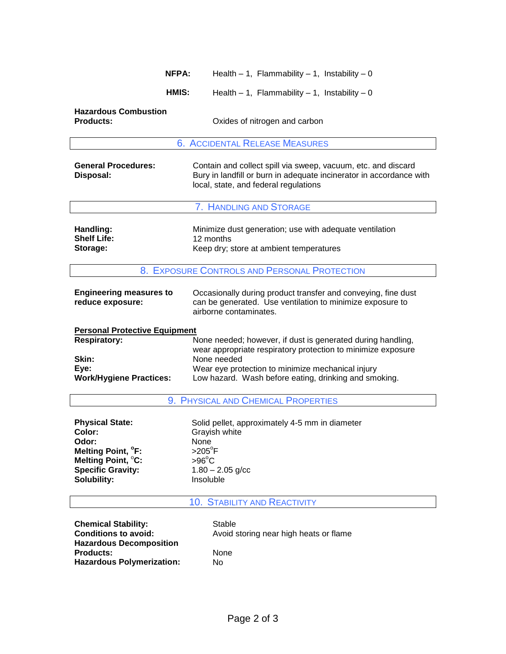| NFPA:                                                                                                                                               | Health $-1$ , Flammability $-1$ , Instability $-0$                                                                                                                                                                                                       |  |
|-----------------------------------------------------------------------------------------------------------------------------------------------------|----------------------------------------------------------------------------------------------------------------------------------------------------------------------------------------------------------------------------------------------------------|--|
| HMIS:                                                                                                                                               | Health $-1$ , Flammability $-1$ , Instability $-0$                                                                                                                                                                                                       |  |
| <b>Hazardous Combustion</b><br><b>Products:</b>                                                                                                     | Oxides of nitrogen and carbon                                                                                                                                                                                                                            |  |
|                                                                                                                                                     | <b>6. ACCIDENTAL RELEASE MEASURES</b>                                                                                                                                                                                                                    |  |
| <b>General Procedures:</b><br>Disposal:                                                                                                             | Contain and collect spill via sweep, vacuum, etc. and discard<br>Bury in landfill or burn in adequate incinerator in accordance with<br>local, state, and federal regulations                                                                            |  |
|                                                                                                                                                     | 7. HANDLING AND STORAGE                                                                                                                                                                                                                                  |  |
| Handling:<br><b>Shelf Life:</b><br>Storage:                                                                                                         | Minimize dust generation; use with adequate ventilation<br>12 months<br>Keep dry; store at ambient temperatures                                                                                                                                          |  |
|                                                                                                                                                     | 8. EXPOSURE CONTROLS AND PERSONAL PROTECTION                                                                                                                                                                                                             |  |
| <b>Engineering measures to</b><br>reduce exposure:                                                                                                  | Occasionally during product transfer and conveying, fine dust<br>can be generated. Use ventilation to minimize exposure to<br>airborne contaminates.                                                                                                     |  |
| <b>Personal Protective Equipment</b>                                                                                                                |                                                                                                                                                                                                                                                          |  |
| <b>Respiratory:</b><br>Skin:<br>Eye:<br><b>Work/Hygiene Practices:</b>                                                                              | None needed; however, if dust is generated during handling,<br>wear appropriate respiratory protection to minimize exposure<br>None needed<br>Wear eye protection to minimize mechanical injury<br>Low hazard. Wash before eating, drinking and smoking. |  |
|                                                                                                                                                     | 9. PHYSICAL AND CHEMICAL PROPERTIES                                                                                                                                                                                                                      |  |
| <b>Physical State:</b><br>Color:<br>Odor:<br>Melting Point, <sup>o</sup> F:<br>Melting Point, °C:<br><b>Specific Gravity:</b><br><b>Solubility:</b> | Solid pellet, approximately 4-5 mm in diameter<br>Grayish white<br>None<br>$>205^\circ F$<br>$>96^{\circ}$ C<br>$1.80 - 2.05$ g/cc<br>Insoluble                                                                                                          |  |
|                                                                                                                                                     | <b>10. STABILITY AND REACTIVITY</b>                                                                                                                                                                                                                      |  |
| <b>Chemical Stability:</b><br><b>Conditions to avoid:</b><br><b>Hazardous Decomposition</b><br><b>Products:</b>                                     | Stable<br>Avoid storing near high heats or flame<br>None                                                                                                                                                                                                 |  |
|                                                                                                                                                     |                                                                                                                                                                                                                                                          |  |

**Hazardous Polymerization:** No